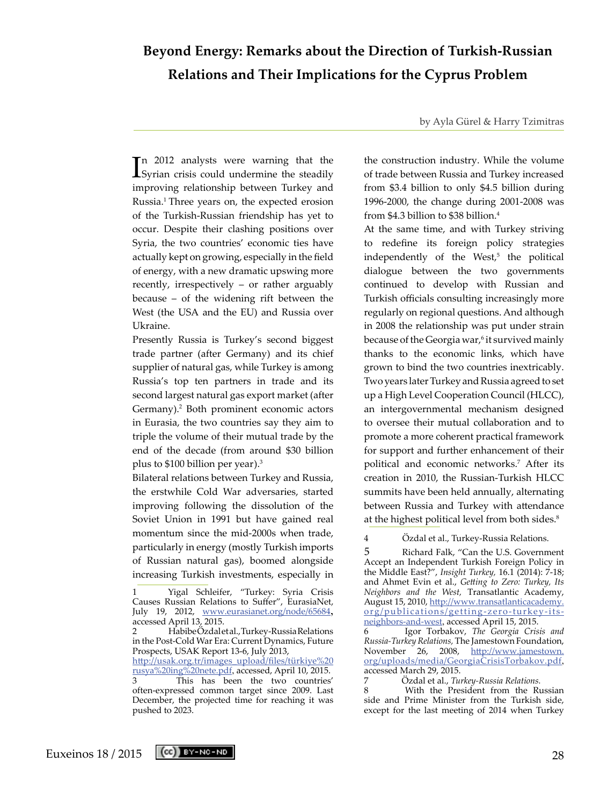# **Beyond Energy: Remarks about the Direction of Turkish-Russian Relations and Their Implications for the Cyprus Problem**

by Ayla Gürel & Harry Tzimitras

In 2012 analysts were warning that the Syrian crisis could undermine the steadily n 2012 analysts were warning that the improving relationship between Turkey and Russia.1 Three years on, the expected erosion of the Turkish-Russian friendship has yet to occur. Despite their clashing positions over Syria, the two countries' economic ties have actually kept on growing, especially in the field of energy, with a new dramatic upswing more recently, irrespectively – or rather arguably because – of the widening rift between the West (the USA and the EU) and Russia over Ukraine.

Presently Russia is Turkey's second biggest trade partner (after Germany) and its chief supplier of natural gas, while Turkey is among Russia's top ten partners in trade and its second largest natural gas export market (after Germany).<sup>2</sup> Both prominent economic actors in Eurasia, the two countries say they aim to triple the volume of their mutual trade by the end of the decade (from around \$30 billion plus to  $$100$  billion per year).<sup>3</sup>

Bilateral relations between Turkey and Russia, the erstwhile Cold War adversaries, started improving following the dissolution of the Soviet Union in 1991 but have gained real momentum since the mid-2000s when trade, particularly in energy (mostly Turkish imports of Russian natural gas), boomed alongside increasing Turkish investments, especially in

the construction industry. While the volume of trade between Russia and Turkey increased from \$3.4 billion to only \$4.5 billion during 1996-2000, the change during 2001-2008 was from \$4.3 billion to \$38 billion.4

At the same time, and with Turkey striving to redefine its foreign policy strategies independently of the West,<sup>5</sup> the political dialogue between the two governments continued to develop with Russian and Turkish officials consulting increasingly more regularly on regional questions. And although in 2008 the relationship was put under strain because of the Georgia war,<sup>6</sup> it survived mainly thanks to the economic links, which have grown to bind the two countries inextricably. Two years later Turkey and Russia agreed to set up a High Level Cooperation Council (HLCC), an intergovernmental mechanism designed to oversee their mutual collaboration and to promote a more coherent practical framework for support and further enhancement of their political and economic networks.7 After its creation in 2010, the Russian-Turkish HLCC summits have been held annually, alternating between Russia and Turkey with attendance at the highest political level from both sides.<sup>8</sup>

4 Özdal et al., Turkey-Russia Relations.

5 Richard Falk, "Can the U.S. Government Accept an Independent Turkish Foreign Policy in the Middle East?", *Insight Turkey,* 16.1 (2014): 7-18; and Ahmet Evin et al., *Getting to Zero: Turkey, Its Neighbors and the West,* Transatlantic Academy, August 15, 2010, [http://www.transatlanticacademy.](http://www.transatlanticacademy.org/publications/getting-zero-turkey-its-neighbors-and-west) [org/publications/getting-zero-turkey-its](http://www.transatlanticacademy.org/publications/getting-zero-turkey-its-neighbors-and-west)[neighbors-and-west](http://www.transatlanticacademy.org/publications/getting-zero-turkey-its-neighbors-and-west), accessed April 15, 2015.

6 Igor Torbakov, *The Georgia Crisis and Russia-Turkey Relations,* The Jamestown Foundation, November 26, 2008, [http://www.jamestown.](http://www.jamestown.org/uploads/media/GeorgiaCrisisTorbakov.pdf) [org/uploads/media/GeorgiaCrisisTorbakov.pdf](http://www.jamestown.org/uploads/media/GeorgiaCrisisTorbakov.pdf), accessed March 29, 2015.

7 Özdal et al., *Turkey-Russia Relations.*

8 With the President from the Russian side and Prime Minister from the Turkish side, except for the last meeting of 2014 when Turkey



<sup>1</sup> Yigal Schleifer, "Turkey: Syria Crisis Causes Russian Relations to Suffer", EurasiaNet, July 19, 2012, [www.eurasianet.org/node/65684](http://www.eurasianet.org/node/65684), accessed April 13, 2015.

<sup>2</sup> Habibe Özdal et al., Turkey-Russia Relations in the Post-Cold War Era: Current Dynamics, Future Prospects, USAK Report 13-6, July 2013,

[http://usak.org.tr/images\\_upload/files/türkiye%20](http://usak.org.tr/images_upload/files/t�rkiye%20rusya%20ing%20nete.pdf) [rusya%20ing%20nete.pdf](http://usak.org.tr/images_upload/files/t�rkiye%20rusya%20ing%20nete.pdf), accessed, April 10, 2015. This has been the two countries' often-expressed common target since 2009. Last December, the projected time for reaching it was pushed to 2023.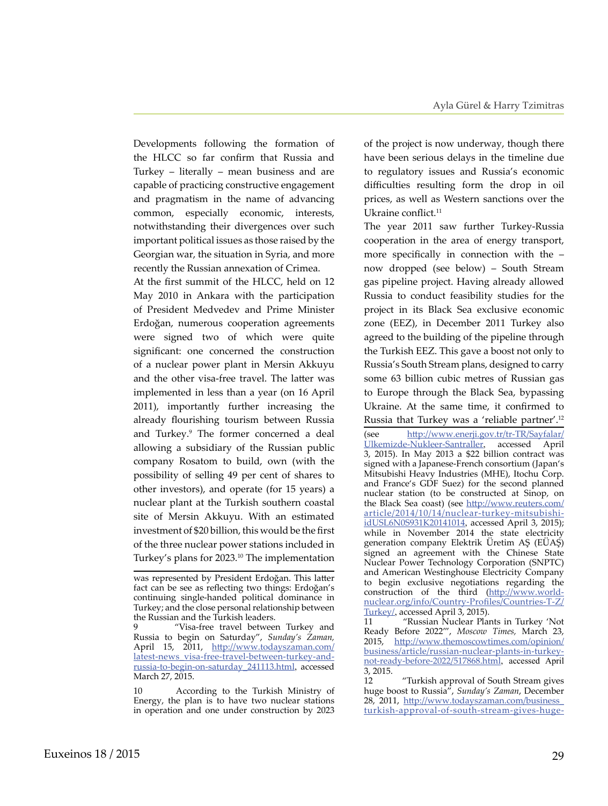Developments following the formation of the HLCC so far confirm that Russia and Turkey – literally – mean business and are capable of practicing constructive engagement and pragmatism in the name of advancing common, especially economic, interests, notwithstanding their divergences over such important political issues as those raised by the Georgian war, the situation in Syria, and more recently the Russian annexation of Crimea.

At the first summit of the HLCC, held on 12 May 2010 in Ankara with the participation of President Medvedev and Prime Minister Erdoğan, numerous cooperation agreements were signed two of which were quite significant: one concerned the construction of a nuclear power plant in Mersin Akkuyu and the other visa-free travel. The latter was implemented in less than a year (on 16 April 2011), importantly further increasing the already flourishing tourism between Russia and Turkey.<sup>9</sup> The former concerned a deal allowing a subsidiary of the Russian public company Rosatom to build, own (with the possibility of selling 49 per cent of shares to other investors), and operate (for 15 years) a nuclear plant at the Turkish southern coastal site of Mersin Akkuyu. With an estimated investment of \$20 billion, this would be the first of the three nuclear power stations included in Turkey's plans for 2023.10 The implementation

10 According to the Turkish Ministry of Energy, the plan is to have two nuclear stations in operation and one under construction by 2023

of the project is now underway, though there have been serious delays in the timeline due to regulatory issues and Russia's economic difficulties resulting form the drop in oil prices, as well as Western sanctions over the Ukraine conflict.<sup>11</sup>

The year 2011 saw further Turkey-Russia cooperation in the area of energy transport, more specifically in connection with the – now dropped (see below) – South Stream gas pipeline project. Having already allowed Russia to conduct feasibility studies for the project in its Black Sea exclusive economic zone (EEZ), in December 2011 Turkey also agreed to the building of the pipeline through the Turkish EEZ. This gave a boost not only to Russia's South Stream plans, designed to carry some 63 billion cubic metres of Russian gas to Europe through the Black Sea, bypassing Ukraine. At the same time, it confirmed to Russia that Turkey was a 'reliable partner'.12

(see [http://www.enerji.gov.tr/tr-TR/Sayfalar/](http://www.enerji.gov.tr/tr-TR/Sayfalar/Ulkemizde-Nukleer-Santraller) [Ulkemizde-Nukleer-Santraller](http://www.enerji.gov.tr/tr-TR/Sayfalar/Ulkemizde-Nukleer-Santraller), accessed April 3, 2015). In May 2013 a \$22 billion contract was signed with a Japanese-French consortium (Japan's Mitsubishi Heavy Industries (MHE), Itochu Corp. and France's GDF Suez) for the second planned nuclear station (to be constructed at Sinop, on the Black Sea coast) (see [http://www.reuters.com/](http://www.reuters.com/article/2014/10/14/nuclear-turkey-mitsubishi-idUSL6N0S931K20141014) [article/2014/10/14/nuclear-turkey-mitsubishi](http://www.reuters.com/article/2014/10/14/nuclear-turkey-mitsubishi-idUSL6N0S931K20141014)[idUSL6N0S931K20141014](http://www.reuters.com/article/2014/10/14/nuclear-turkey-mitsubishi-idUSL6N0S931K20141014), accessed April 3, 2015); while in November 2014 the state electricity generation company Elektrik Üretim AŞ (EÜAŞ) signed an agreement with the Chinese State Nuclear Power Technology Corporation (SNPTC) and American Westinghouse Electricity Company to begin exclusive negotiations regarding the construction of the third [\(http://www.world](http://www.world-nuclear.org/info/Country-Profiles/Countries-T-Z/Turkey/)[nuclear.org/info/Country-Profiles/Countries-T-Z/](http://www.world-nuclear.org/info/Country-Profiles/Countries-T-Z/Turkey/) [Turkey/](http://www.world-nuclear.org/info/Country-Profiles/Countries-T-Z/Turkey/), accessed April 3, 2015).

11 "Russian Nuclear Plants in Turkey 'Not Ready Before 2022'", *Moscow Times,* March 23, 2015, [http://www.themoscowtimes.com/opinion/](http://www.themoscowtimes.com/opinion/business/article/russian-nuclear-plants-in-turkey-not-ready-before-2022/517868.html) [business/article/russian-nuclear-plants-in-turkey](http://www.themoscowtimes.com/opinion/business/article/russian-nuclear-plants-in-turkey-not-ready-before-2022/517868.html)[not-ready-before-2022/517868.html](http://www.themoscowtimes.com/opinion/business/article/russian-nuclear-plants-in-turkey-not-ready-before-2022/517868.html), accessed April 3, 2015.

was represented by President Erdoğan. This latter fact can be see as reflecting two things: Erdoğan's continuing single-handed political dominance in Turkey; and the close personal relationship between the Russian and the Turkish leaders.

<sup>&</sup>quot;Visa-free travel between Turkey and Russia to begin on Saturday", *Sunday's Zaman,*  April 15, 2011, [http://www.todayszaman.com/](http://www.todayszaman.com/latest-news_visa-free-travel-between-turkey-and-russia-to-begin-on-saturday_241113.html) [latest-news\\_visa-free-travel-between-turkey-and](http://www.todayszaman.com/latest-news_visa-free-travel-between-turkey-and-russia-to-begin-on-saturday_241113.html)[russia-to-begin-on-saturday\\_241113.html](http://www.todayszaman.com/latest-news_visa-free-travel-between-turkey-and-russia-to-begin-on-saturday_241113.html), accessed March 27, 2015.

<sup>12 &</sup>quot;Turkish approval of South Stream gives huge boost to Russia", *Sunday's Zaman*, December 28, 2011, [http://www.todayszaman.com/business\\_](http://www.todayszaman.com/business_turkish-approval-of-south-stream-gives-huge-boost-to-russia_266990.html) [turkish-approval-of-south-stream-gives-huge-](http://www.todayszaman.com/business_turkish-approval-of-south-stream-gives-huge-boost-to-russia_266990.html)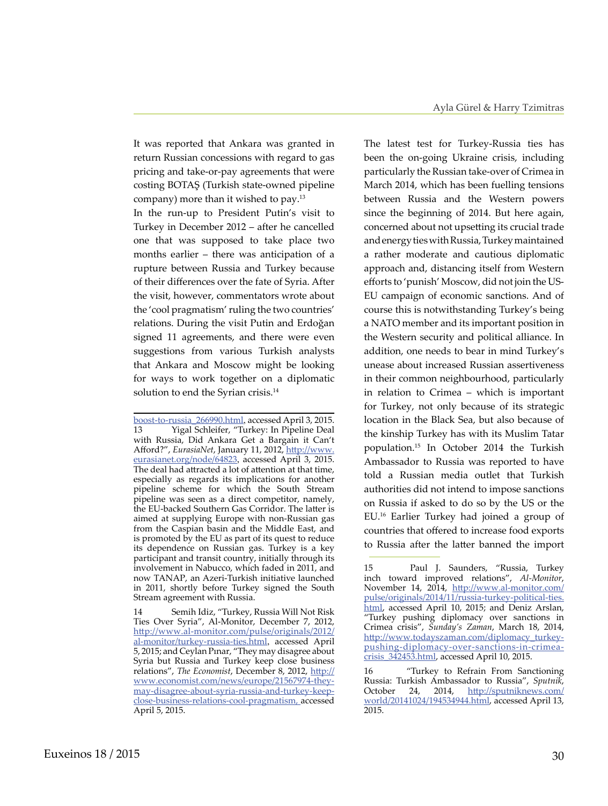It was reported that Ankara was granted in return Russian concessions with regard to gas pricing and take-or-pay agreements that were costing BOTAŞ (Turkish state-owned pipeline company) more than it wished to pay.<sup>13</sup> In the run-up to President Putin's visit to Turkey in December 2012 – after he cancelled one that was supposed to take place two months earlier – there was anticipation of a rupture between Russia and Turkey because of their differences over the fate of Syria. After the visit, however, commentators wrote about the 'cool pragmatism' ruling the two countries' relations. During the visit Putin and Erdoğan signed 11 agreements, and there were even suggestions from various Turkish analysts that Ankara and Moscow might be looking for ways to work together on a diplomatic solution to end the Syrian crisis.<sup>14</sup>

The latest test for Turkey-Russia ties has been the on-going Ukraine crisis, including particularly the Russian take-over of Crimea in March 2014, which has been fuelling tensions between Russia and the Western powers since the beginning of 2014. But here again, concerned about not upsetting its crucial trade and energy ties with Russia, Turkey maintained a rather moderate and cautious diplomatic approach and, distancing itself from Western efforts to 'punish' Moscow, did not join the US-EU campaign of economic sanctions. And of course this is notwithstanding Turkey's being a NATO member and its important position in the Western security and political alliance. In addition, one needs to bear in mind Turkey's unease about increased Russian assertiveness in their common neighbourhood, particularly in relation to Crimea – which is important for Turkey, not only because of its strategic location in the Black Sea, but also because of the kinship Turkey has with its Muslim Tatar population.15 In October 2014 the Turkish Ambassador to Russia was reported to have told a Russian media outlet that Turkish authorities did not intend to impose sanctions on Russia if asked to do so by the US or the EU.16 Earlier Turkey had joined a group of countries that offered to increase food exports to Russia after the latter banned the import

[boost-to-russia\\_266990.html](http://www.todayszaman.com/business_turkish-approval-of-south-stream-gives-huge-boost-to-russia_266990.html), accessed April 3, 2015. Yigal Schleifer, "Turkey: In Pipeline Deal with Russia, Did Ankara Get a Bargain it Can't Afford?", *EurasiaNet*, January 11, 2012, [http://www.](http://www.eurasianet.org/node/64823) [eurasianet.org/node/64823](http://www.eurasianet.org/node/64823), accessed April 3, 2015. The deal had attracted a lot of attention at that time, especially as regards its implications for another pipeline scheme for which the South Stream pipeline was seen as a direct competitor, namely, the EU-backed Southern Gas Corridor. The latter is aimed at supplying Europe with non-Russian gas from the Caspian basin and the Middle East, and is promoted by the EU as part of its quest to reduce its dependence on Russian gas. Turkey is a key participant and transit country, initially through its involvement in Nabucco, which faded in 2011, and now TANAP, an Azeri-Turkish initiative launched in 2011, shortly before Turkey signed the South Stream agreement with Russia.

<sup>14</sup> Semih Idiz, "Turkey, Russia Will Not Risk Ties Over Syria", Al-Monitor, December 7, 2012, [http://www.al-monitor.com/pulse/originals/2012/](http://www.al-monitor.com/pulse/originals/2012/al-monitor/turkey-russia-ties.html) [al-monitor/turkey-russia-ties.html](http://www.al-monitor.com/pulse/originals/2012/al-monitor/turkey-russia-ties.html), accessed April 5, 2015; and Ceylan Pınar, "They may disagree about Syria but Russia and Turkey keep close business relations", *The Economist*, December 8, 2012, [http://](http://www.economist.com/news/europe/21567974-they-may-disagree-about-syria-russia-and-turkey-keep-close-business-relations-cool-pragmatism) [www.economist.com/news/europe/21567974-they](http://www.economist.com/news/europe/21567974-they-may-disagree-about-syria-russia-and-turkey-keep-close-business-relations-cool-pragmatism)[may-disagree-about-syria-russia-and-turkey-keep](http://www.economist.com/news/europe/21567974-they-may-disagree-about-syria-russia-and-turkey-keep-close-business-relations-cool-pragmatism)[close-business-relations-cool-pragmatism](http://www.economist.com/news/europe/21567974-they-may-disagree-about-syria-russia-and-turkey-keep-close-business-relations-cool-pragmatism), accessed April 5, 2015.

<sup>15</sup> Paul J. Saunders, "Russia, Turkey inch toward improved relations", *Al-Monitor*, November 14, 2014, [http://www.al-monitor.com/](http://www.al-monitor.com/pulse/originals/2014/11/russia-turkey-political-ties.html) [pulse/originals/2014/11/russia-turkey-political-ties.](http://www.al-monitor.com/pulse/originals/2014/11/russia-turkey-political-ties.html) [html](http://www.al-monitor.com/pulse/originals/2014/11/russia-turkey-political-ties.html), accessed April 10, 2015; and Deniz Arslan, "Turkey pushing diplomacy over sanctions in Crimea crisis", *Sunday's Zaman*, March 18, 2014, [http://www.todayszaman.com/diplomacy\\_turkey](http://www.todayszaman.com/diplomacy_turkey-pushing-diplomacy-over-sanctions-in-crimea-crisis_342453.html)[pushing-diplomacy-over-sanctions-in-crimea](http://www.todayszaman.com/diplomacy_turkey-pushing-diplomacy-over-sanctions-in-crimea-crisis_342453.html)[crisis\\_342453.html](http://www.todayszaman.com/diplomacy_turkey-pushing-diplomacy-over-sanctions-in-crimea-crisis_342453.html), accessed April 10, 2015.

<sup>16</sup> "Turkey to Refrain From Sanctioning Russia: Turkish Ambassador to Russia", *Sputnik*, October 24, 2014, [http://sputniknews.com/](http://sputniknews.com/world/20141024/194534944.html) [world/20141024/194534944.html,](http://sputniknews.com/world/20141024/194534944.html) accessed April 13, 2015.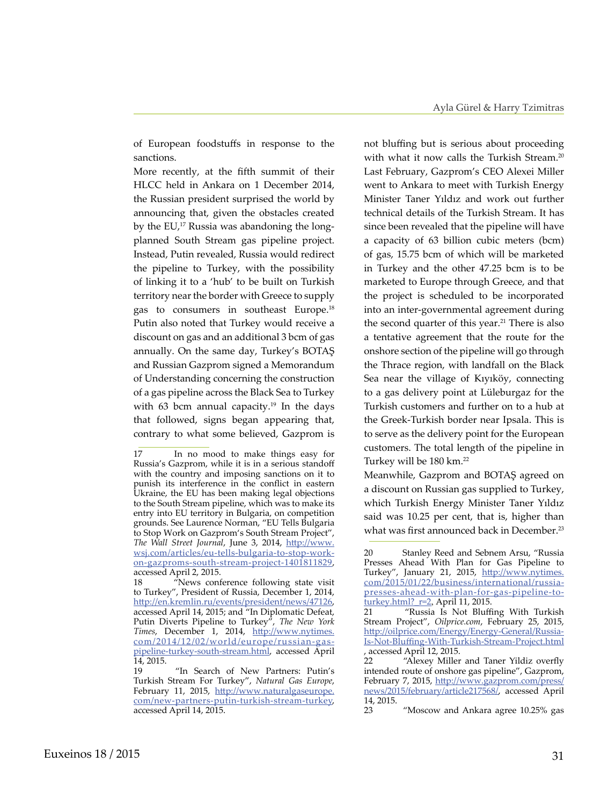of European foodstuffs in response to the sanctions.

More recently, at the fifth summit of their HLCC held in Ankara on 1 December 2014, the Russian president surprised the world by announcing that, given the obstacles created by the EU,<sup>17</sup> Russia was abandoning the longplanned South Stream gas pipeline project. Instead, Putin revealed, Russia would redirect the pipeline to Turkey, with the possibility of linking it to a 'hub' to be built on Turkish territory near the border with Greece to supply gas to consumers in southeast Europe.<sup>18</sup> Putin also noted that Turkey would receive a discount on gas and an additional 3 bcm of gas annually. On the same day, Turkey's BOTAŞ and Russian Gazprom signed a Memorandum of Understanding concerning the construction of a gas pipeline across the Black Sea to Turkey with 63 bcm annual capacity.<sup>19</sup> In the days that followed, signs began appearing that, contrary to what some believed, Gazprom is not bluffing but is serious about proceeding with what it now calls the Turkish Stream.<sup>20</sup> Last February, Gazprom's CEO Alexei Miller went to Ankara to meet with Turkish Energy Minister Taner Yıldız and work out further technical details of the Turkish Stream. It has since been revealed that the pipeline will have a capacity of 63 billion cubic meters (bcm) of gas, 15.75 bcm of which will be marketed in Turkey and the other 47.25 bcm is to be marketed to Europe through Greece, and that the project is scheduled to be incorporated into an inter-governmental agreement during the second quarter of this year.<sup>21</sup> There is also a tentative agreement that the route for the onshore section of the pipeline will go through the Thrace region, with landfall on the Black Sea near the village of Kıyıköy, connecting to a gas delivery point at Lüleburgaz for the Turkish customers and further on to a hub at the Greek-Turkish border near Ipsala. This is to serve as the delivery point for the European customers. The total length of the pipeline in Turkey will be 180 km.22

Meanwhile, Gazprom and BOTAŞ agreed on a discount on Russian gas supplied to Turkey, which Turkish Energy Minister Taner Yıldız said was 10.25 per cent, that is, higher than what was first announced back in December.<sup>23</sup>

<sup>17</sup> In no mood to make things easy for Russia's Gazprom, while it is in a serious standoff with the country and imposing sanctions on it to punish its interference in the conflict in eastern Ukraine, the EU has been making legal objections to the South Stream pipeline, which was to make its entry into EU territory in Bulgaria, on competition grounds. See Laurence Norman, "EU Tells Bulgaria to Stop Work on Gazprom's South Stream Project", *The Wall Street Journal*, June 3, 2014, [http://www.](http://www.wsj.com/articles/eu-tells-bulgaria-to-stop-work-on-gazproms-south-stream-project-1401811829) [wsj.com/articles/eu-tells-bulgaria-to-stop-work](http://www.wsj.com/articles/eu-tells-bulgaria-to-stop-work-on-gazproms-south-stream-project-1401811829)[on-gazproms-south-stream-project-1401811829](http://www.wsj.com/articles/eu-tells-bulgaria-to-stop-work-on-gazproms-south-stream-project-1401811829), accessed April 2, 2015.<br>18 "News conf

<sup>&</sup>quot;News conference following state visit to Turkey", President of Russia, December 1, 2014, <http://en.kremlin.ru/events/president/news/47126>, accessed April 14, 2015; and "In Diplomatic Defeat, Putin Diverts Pipeline to Turkey", *The New York Times*, December 1, 2014, [http://www.nytimes.](http://www.nytimes.com/2014/12/02/world/europe/russian-gas-pipeline-turkey-south-stream.html) [com/2014/12/02/world/europe/russian-gas](http://www.nytimes.com/2014/12/02/world/europe/russian-gas-pipeline-turkey-south-stream.html)[pipeline-turkey-south-stream.html,](http://www.nytimes.com/2014/12/02/world/europe/russian-gas-pipeline-turkey-south-stream.html) accessed April 14, 2015.

<sup>19 &</sup>quot;In Search of New Partners: Putin's Turkish Stream For Turkey", *Natural Gas Europe*, February 11, 2015, [http://www.naturalgaseurope.](http://www.naturalgaseurope.com/new-partners-putin-turkish-stream-turkey) [com/new-partners-putin-turkish-stream-turkey](http://www.naturalgaseurope.com/new-partners-putin-turkish-stream-turkey), accessed April 14, 2015.

<sup>20</sup> Stanley Reed and Sebnem Arsu, "Russia Presses Ahead With Plan for Gas Pipeline to Turkey", January 21, 2015, [http://www.nytimes.](http://www.nytimes.com/2015/01/22/business/international/russia-presses-ahead-with-plan-for-gas-pipeline-to-turkey.html?_r=2) [com/2015/01/22/business/international/russia](http://www.nytimes.com/2015/01/22/business/international/russia-presses-ahead-with-plan-for-gas-pipeline-to-turkey.html?_r=2)[presses-ahead-with-plan-for-gas-pipeline-to](http://www.nytimes.com/2015/01/22/business/international/russia-presses-ahead-with-plan-for-gas-pipeline-to-turkey.html?_r=2)[turkey.html?\\_r=2](http://www.nytimes.com/2015/01/22/business/international/russia-presses-ahead-with-plan-for-gas-pipeline-to-turkey.html?_r=2), April 11, 2015.

<sup>21</sup> "Russia Is Not Bluffing With Turkish Stream Project", *Oilprice.com*, February 25, 2015, [http://oilprice.com/Energy/Energy-General/Russia-](http://oilprice.com/Energy/Energy-General/Russia-Is-Not-Bluffing-With-Turkish-Stream-Project.html)[Is-Not-Bluffing-With-Turkish-Stream-Project.html](http://oilprice.com/Energy/Energy-General/Russia-Is-Not-Bluffing-With-Turkish-Stream-Project.html) , accessed April 12, 2015.

<sup>22</sup> "Alexey Miller and Taner Yildiz overfly intended route of onshore gas pipeline", Gazprom, February 7, 2015, [http://www.gazprom.com/press/](http://www.gazprom.com/press/news/2015/february/article217568/) [news/2015/february/article217568/,](http://www.gazprom.com/press/news/2015/february/article217568/) accessed April 14, 2015.

<sup>23 &</sup>quot;Moscow and Ankara agree 10.25% gas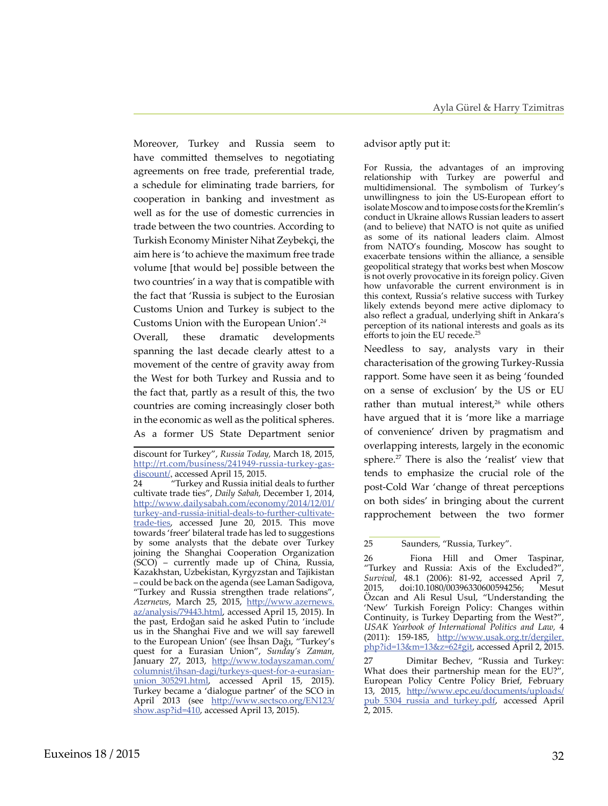Moreover, Turkey and Russia seem to have committed themselves to negotiating agreements on free trade, preferential trade, a schedule for eliminating trade barriers, for cooperation in banking and investment as well as for the use of domestic currencies in trade between the two countries. According to Turkish Economy Minister Nihat Zeybekçi, the aim here is 'to achieve the maximum free trade volume [that would be] possible between the two countries' in a way that is compatible with the fact that 'Russia is subject to the Eurosian Customs Union and Turkey is subject to the Customs Union with the European Union'.24 Overall, these dramatic developments spanning the last decade clearly attest to a movement of the centre of gravity away from the West for both Turkey and Russia and to the fact that, partly as a result of this, the two countries are coming increasingly closer both in the economic as well as the political spheres. As a former US State Department senior

## advisor aptly put it:

For Russia, the advantages of an improving relationship with Turkey are powerful and multidimensional. The symbolism of Turkey's unwillingness to join the US-European effort to isolate Moscow and to impose costs for the Kremlin's conduct in Ukraine allows Russian leaders to assert (and to believe) that NATO is not quite as unified as some of its national leaders claim. Almost from NATO's founding, Moscow has sought to exacerbate tensions within the alliance, a sensible geopolitical strategy that works best when Moscow is not overly provocative in its foreign policy. Given how unfavorable the current environment is in this context, Russia's relative success with Turkey likely extends beyond mere active diplomacy to also reflect a gradual, underlying shift in Ankara's perception of its national interests and goals as its efforts to join the EU recede.<sup>25</sup>

Needless to say, analysts vary in their characterisation of the growing Turkey-Russia rapport. Some have seen it as being 'founded on a sense of exclusion' by the US or EU rather than mutual interest,<sup>26</sup> while others have argued that it is 'more like a marriage of convenience' driven by pragmatism and overlapping interests, largely in the economic sphere.27 There is also the 'realist' view that tends to emphasize the crucial role of the post-Cold War 'change of threat perceptions on both sides' in bringing about the current rapprochement between the two former

26 Fiona Hill and Omer Taspinar, "Turkey and Russia: Axis of the Excluded?", *Survival,* 48.1 (2006): 81-92, accessed April 7, 2015, doi:10.1080/00396330600594256; Mesut Özcan and Ali Resul Usul, "Understanding the 'New' Turkish Foreign Policy: Changes within Continuity, is Turkey Departing from the West?" *USAK Yearbook of International Politics and Law,* 4 (2011): 159-185, http://www.usak.org.tr/dergiler. php?id=13&m=13&z=62#git, accessed April 2, 2015.

27 Dimitar Bechev, "Russia and Turkey: What does their partnership mean for the EU?", European Policy Centre Policy Brief, February 13, 2015, [http://www.epc.eu/documents/uploads/](http://www.epc.eu/documents/uploads/pub_5304_russia_and_turkey.pdf) [pub\\_5304\\_russia\\_and\\_turkey.pdf,](http://www.epc.eu/documents/uploads/pub_5304_russia_and_turkey.pdf) accessed April 2, 2015.

discount for Turkey", *Russia Today,* March 18, 2015, [http://rt.com/business/241949-russia-turkey-gas](http://rt.com/business/241949-russia-turkey-gas-discount/)[discount/](http://rt.com/business/241949-russia-turkey-gas-discount/), accessed April 15, 2015.<br>24 Turkey and Russia initia

<sup>&</sup>quot;Turkey and Russia initial deals to further cultivate trade ties", *Daily Sabah,* December 1, 2014, [http://www.dailysabah.com/economy/2014/12/01/](http://www.dailysabah.com/economy/2014/12/01/turkey-and-russia-initial-deals-to-further-cultivate-trade-ties) [turkey-and-russia-initial-deals-to-further-cultivate](http://www.dailysabah.com/economy/2014/12/01/turkey-and-russia-initial-deals-to-further-cultivate-trade-ties)[trade-ties,](http://www.dailysabah.com/economy/2014/12/01/turkey-and-russia-initial-deals-to-further-cultivate-trade-ties) accessed June 20, 2015. This move towards 'freer' bilateral trade has led to suggestions by some analysts that the debate over Turkey joining the Shanghai Cooperation Organization (SCO) – currently made up of China, Russia, Kazakhstan, Uzbekistan, Kyrgyzstan and Tajikistan – could be back on the agenda (see Laman Sadigova, "Turkey and Russia strengthen trade relations", *Azernews*, March 25, 2015, [http://www.azernews.](http://www.azernews.az/analysis/79443.html) [az/analysis/79443.html,](http://www.azernews.az/analysis/79443.html) accessed April 15, 2015). In the past, Erdoğan said he asked Putin to 'include us in the Shanghai Five and we will say farewell to the European Union' (see İhsan Dağı, "Turkey's quest for a Eurasian Union", *Sunday's Zaman,* January 27, 2013, [http://www.todayszaman.com/](http://www.todayszaman.com/columnist/ihsan-dagi/turkeys-quest-for-a-eurasian-union_305291.html) [columnist/ihsan-dagi/turkeys-quest-for-a-eurasian](http://www.todayszaman.com/columnist/ihsan-dagi/turkeys-quest-for-a-eurasian-union_305291.html)[union\\_305291.html](http://www.todayszaman.com/columnist/ihsan-dagi/turkeys-quest-for-a-eurasian-union_305291.html), accessed April 15, 2015). Turkey became a 'dialogue partner' of the SCO in April 2013 (see [http://www.sectsco.org/EN123/](http://www.sectsco.org/EN123/show.asp?id=410) [show.asp?id=410](http://www.sectsco.org/EN123/show.asp?id=410), accessed April 13, 2015).

<sup>25</sup> Saunders, "Russia, Turkey".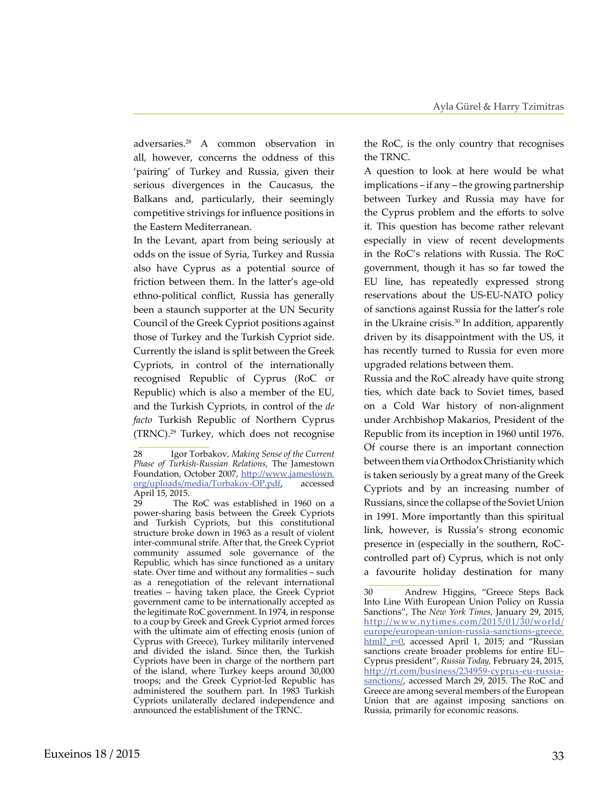adversaries.28 A common observation in all, however, concerns the oddness of this 'pairing' of Turkey and Russia, given their serious divergences in the Caucasus, the Balkans and, particularly, their seemingly competitive strivings for influence positions in the Eastern Mediterranean.

In the Levant, apart from being seriously at odds on the issue of Syria, Turkey and Russia also have Cyprus as a potential source of friction between them. In the latter's age-old ethno-political conflict, Russia has generally been a staunch supporter at the UN Security Council of the Greek Cypriot positions against those of Turkey and the Turkish Cypriot side. Currently the island is split between the Greek Cypriots, in control of the internationally recognised Republic of Cyprus (RoC or Republic) which is also a member of the EU, and the Turkish Cypriots, in control of the *de facto* Turkish Republic of Northern Cyprus (TRNC).<sup>29</sup> Turkey, which does not recognise

the RoC, is the only country that recognises the TRNC.

A question to look at here would be what implications – if any – the growing partnership between Turkey and Russia may have for the Cyprus problem and the efforts to solve it. This question has become rather relevant especially in view of recent developments in the RoC's relations with Russia. The RoC government, though it has so far towed the EU line, has repeatedly expressed strong reservations about the US-EU-NATO policy of sanctions against Russia for the latter's role in the Ukraine crisis.<sup>30</sup> In addition, apparently driven by its disappointment with the US, it has recently turned to Russia for even more upgraded relations between them.

Russia and the RoC already have quite strong ties, which date back to Soviet times, based on a Cold War history of non-alignment under [Archbishop Makarios,](http://www.ahistoryofgreece.com/biography/makarios.htm) President of the Republic from its inception in 1960 until 1976. Of course there is an important connection between them via Orthodox Christianity which is taken seriously by a great many of the Greek Cypriots and by an increasing number of Russians, since the collapse of the Soviet Union in 1991. More importantly than this spiritual link, however, is Russia's strong economic presence in (especially in the southern, RoCcontrolled part of) Cyprus, which is not only a favourite holiday destination for many

<sup>28</sup> Igor Torbakov*, Making Sense of the Current Phase of Turkish-Russian Relations,* The Jamestown Foundation, October 2007, [http://www.jamestown.](http://www.jamestown.org/uploads/media/Torbakov-OP.pdf) [org/uploads/media/Torbakov-OP.pdf,](http://www.jamestown.org/uploads/media/Torbakov-OP.pdf) accessed April 15, 2015.<br>29 The

The RoC was established in 1960 on a power-sharing basis between the Greek Cypriots and Turkish Cypriots, but this constitutional structure broke down in 1963 as a result of violent inter-communal strife. After that, the Greek Cypriot community assumed sole governance of the Republic, which has since functioned as a unitary state. Over time and without any formalities – such as a renegotiation of the relevant international treaties – having taken place, the Greek Cypriot government came to be internationally accepted as the legitimate RoC government. In 1974, in response to a coup by Greek and Greek Cypriot armed forces with the ultimate aim of effecting enosis (union of Cyprus with Greece), Turkey militarily intervened and divided the island. Since then, the Turkish Cypriots have been in charge of the northern part of the island, where Turkey keeps around 30,000 troops; and the Greek Cypriot-led Republic has administered the southern part. In 1983 Turkish Cypriots unilaterally declared independence and announced the establishment of the TRNC.

<sup>30</sup> Andrew Higgins, "Greece Steps Back Into Line With European Union Policy on Russia Sanctions", The *New York Times,* January 29, 2015, [http://www.nytimes.com/2015/01/30/world/](http://www.nytimes.com/2015/01/30/world/europe/european-union-russia-sanctions-greece.html?_r=0) [europe/european-union-russia-sanctions-greece.](http://www.nytimes.com/2015/01/30/world/europe/european-union-russia-sanctions-greece.html?_r=0) html?  $r=0$ , accessed April 1, 2015; and "Russian sanctions create broader problems for entire EU– Cyprus president", *Russia Today,* February 24, 2015, [http://rt.com/business/234959-cyprus-eu-russia](http://rt.com/business/234959-cyprus-eu-russia-sanctions/)[sanctions/](http://rt.com/business/234959-cyprus-eu-russia-sanctions/), accessed March 29, 2015. The RoC and Greece are among several members of the European Union that are against imposing sanctions on Russia, primarily for economic reasons.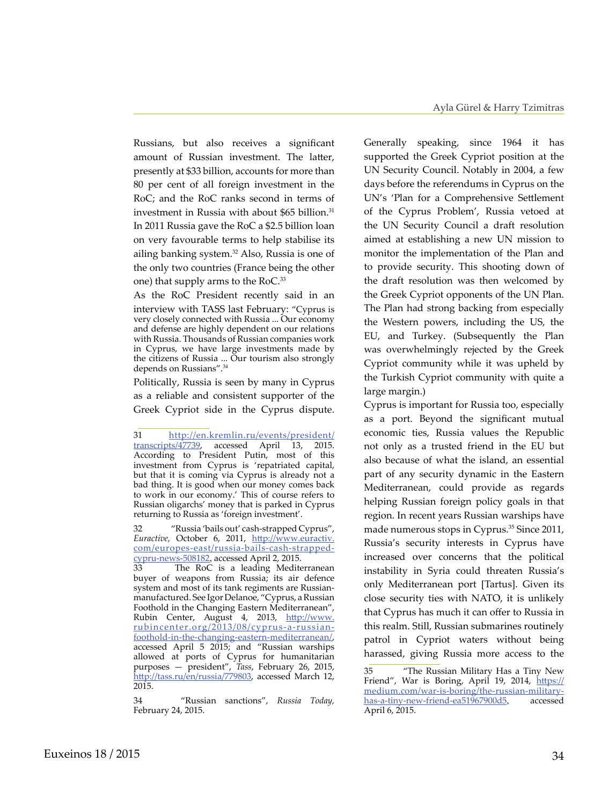Russians, but also receives a significant amount of Russian investment. The latter, presently at \$33 billion, accounts for more than 80 per cent of all foreign investment in the RoC; and the RoC ranks second in terms of investment in Russia with about \$65 billion.<sup>31</sup> In 2011 Russia gave the RoC a \$2.5 billion loan on very favourable terms to help stabilise its ailing banking system.<sup>32</sup> Also, Russia is one of the only two countries (France being the other one) that supply arms to the RoC.<sup>33</sup>

As the RoC President recently said in an interview with TASS last February: "Cyprus is very closely connected with Russia ... Our economy and defense are highly dependent on our relations with Russia. Thousands of Russian companies work in Cyprus, we have large investments made by the citizens of Russia ... Our tourism also strongly depends on Russians".34

Politically, Russia is seen by many in Cyprus as a reliable and consistent supporter of the Greek Cypriot side in the Cyprus dispute.

34 "Russian sanctions", *Russia Today,*  February 24, 2015.

Generally speaking, since 1964 it has supported the Greek Cypriot position at the UN Security Council. Notably in 2004, a few days before the referendums in Cyprus on the UN's 'Plan for a Comprehensive Settlement of the Cyprus Problem', Russia vetoed at the UN Security Council a draft resolution aimed at establishing a new UN mission to monitor the implementation of the Plan and to provide security. This shooting down of the draft resolution was then welcomed by the Greek Cypriot opponents of the UN Plan. The Plan had strong backing from especially the Western powers, including the US, the EU, and Turkey. (Subsequently the Plan was overwhelmingly rejected by the Greek Cypriot community while it was upheld by the Turkish Cypriot community with quite a large margin.)

Cyprus is important for Russia too, especially as a port. Beyond the significant mutual economic ties, Russia values the Republic not only as a trusted friend in the EU but also because of what the island, an essential part of any security dynamic in the Eastern Mediterranean, could provide as regards helping Russian foreign policy goals in that region. In recent years Russian warships have made numerous stops in Cyprus.<sup>35</sup> Since 2011, Russia's security interests in Cyprus have increased over concerns that the political instability in Syria could threaten Russia's only Mediterranean port [Tartus]. Given its close security ties with NATO, it is unlikely that Cyprus has much it can offer to Russia in this realm. Still, Russian submarines routinely patrol in Cypriot waters without being harassed, giving Russia more access to the

<sup>31</sup> [http://en.kremlin.ru/events/president/](http://en.kremlin.ru/events/president/transcripts/47739) [transcripts/47739](http://en.kremlin.ru/events/president/transcripts/47739), accessed April 13, 2015. According to President Putin, most of this investment from Cyprus is 'repatriated capital, but that it is coming via Cyprus is already not a bad thing. It is good when our money comes back to work in our economy.' This of course refers to Russian oligarchs' money that is parked in Cyprus returning to Russia as 'foreign investment'.

<sup>32</sup> "Russia 'bails out' cash-strapped Cyprus", *Euractive,* October 6, 2011, [http://www.euractiv.](http://www.euractiv.com/europes-east/russia-bails-cash-strapped-cypru-news-508182) [com/europes-east/russia-bails-cash-strapped](http://www.euractiv.com/europes-east/russia-bails-cash-strapped-cypru-news-508182)[cypru-news-508182](http://www.euractiv.com/europes-east/russia-bails-cash-strapped-cypru-news-508182), accessed April 2, 2015.

<sup>33</sup> The RoC is a leading Mediterranean buyer of weapons from Russia; its air defence system and most of its tank regiments are Russianmanufactured. See Igor Delanoe, "Cyprus, a Russian Foothold in the Changing Eastern Mediterranean", Rubin Center, August 4, 2013, [http://www.](http://www.rubincenter.org/2013/08/cyprus-a-russian-foothold-in-the-changing-eastern-mediterranean/) [rubincenter.org/2013/08/cyprus-a-russian](http://www.rubincenter.org/2013/08/cyprus-a-russian-foothold-in-the-changing-eastern-mediterranean/)[foothold-in-the-changing-eastern-mediterranean/](http://www.rubincenter.org/2013/08/cyprus-a-russian-foothold-in-the-changing-eastern-mediterranean/), accessed April 5 2015; and "Russian warships allowed at ports of Cyprus for humanitarian purposes — president", *Tass*, February 26, 2015, <http://tass.ru/en/russia/779803>, accessed March 12, 2015.

<sup>35 &</sup>quot;The Russian Military Has a Tiny New Friend", War is Boring, April 19, 2014, [https://](https://medium.com/war-is-boring/the-russian-military-has-a-tiny-new-friend-ea51967900d5) [medium.com/war-is-boring/the-russian-military](https://medium.com/war-is-boring/the-russian-military-has-a-tiny-new-friend-ea51967900d5)[has-a-tiny-new-friend-ea51967900d5](https://medium.com/war-is-boring/the-russian-military-has-a-tiny-new-friend-ea51967900d5), accessed April 6, 2015.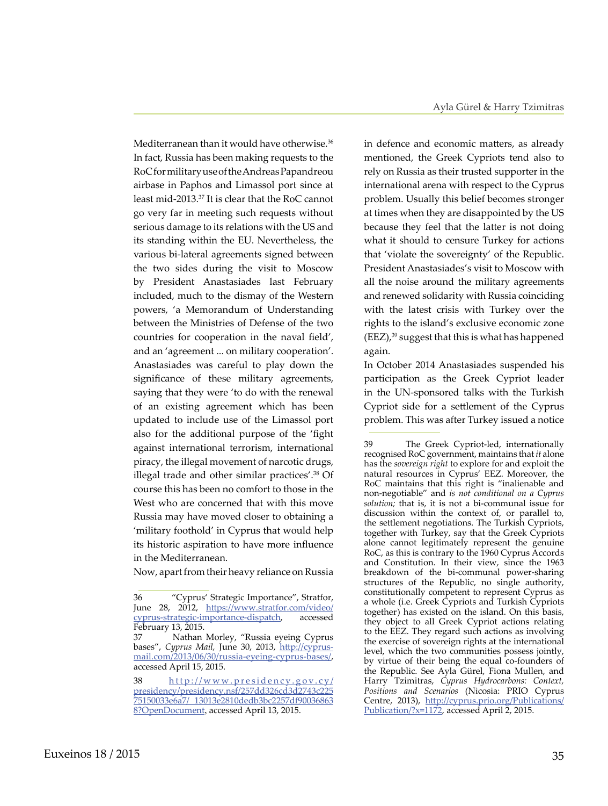Mediterranean than it would have otherwise.<sup>36</sup> In fact, Russia has been making requests to the RoC for military use of the Andreas Papandreou airbase in Paphos and Limassol port since at least mid-2013.37 It is clear that the RoC cannot go very far in meeting such requests without serious damage to its relations with the US and its standing within the EU. Nevertheless, the various bi-lateral agreements signed between the two sides during the visit to Moscow by President Anastasiades last February included, much to the dismay of the Western powers, 'a Memorandum of Understanding between the Ministries of Defense of the two countries for cooperation in the naval field', and an 'agreement ... on military cooperation'. Anastasiades was careful to play down the significance of these military agreements, saying that they were 'to do with the renewal of an existing agreement which has been updated to include use of the Limassol port also for the additional purpose of the 'fight against international terrorism, international piracy, the illegal movement of narcotic drugs, illegal trade and other similar practices'.<sup>38</sup> Of course this has been no comfort to those in the West who are concerned that with this move Russia may have moved closer to obtaining a 'military foothold' in Cyprus that would help its historic aspiration to have more influence in the Mediterranean.

Now, apart from their heavy reliance on Russia

in defence and economic matters, as already mentioned, the Greek Cypriots tend also to rely on Russia as their trusted supporter in the international arena with respect to the Cyprus problem. Usually this belief becomes stronger at times when they are disappointed by the US because they feel that the latter is not doing what it should to censure Turkey for actions that 'violate the sovereignty' of the Republic. President Anastasiades's visit to Moscow with all the noise around the military agreements and renewed solidarity with Russia coinciding with the latest crisis with Turkey over the rights to the island's exclusive economic zone  $(EEZ)<sup>39</sup>$  suggest that this is what has happened again.

In October 2014 Anastasiades suspended his participation as the Greek Cypriot leader in the UN-sponsored talks with the Turkish Cypriot side for a settlement of the Cyprus problem. This was after Turkey issued a notice

<sup>36 &</sup>quot;Cyprus' Strategic Importance", Stratfor, June 28, 2012, [https://www.stratfor.com/video/](https://www.stratfor.com/video/cyprus-strategic-importance-dispatch) [cyprus-strategic-importance-dispatch,](https://www.stratfor.com/video/cyprus-strategic-importance-dispatch) accessed February 13, 2015.

<sup>37</sup> Nathan Morley, "Russia eyeing Cyprus bases", *Cyprus Mail*, June 30, 2013, [http://cyprus](http://cyprus-mail.com/2013/06/30/russia-eyeing-cyprus-bases/)[mail.com/2013/06/30/russia-eyeing-cyprus-bases/](http://cyprus-mail.com/2013/06/30/russia-eyeing-cyprus-bases/), accessed April 15, 2015.

<sup>38</sup> [http://www.presidency.gov.cy/](http://www.presidency.gov.cy/presidency/presidency.nsf/257dd326cd3d2743c22575150033e6a7/13013e2810dedb3bc2257df900368638?OpenDocument) [presidency/presidency.nsf/257dd326cd3d2743c225](http://www.presidency.gov.cy/presidency/presidency.nsf/257dd326cd3d2743c22575150033e6a7/13013e2810dedb3bc2257df900368638?OpenDocument) [75150033e6a7/ 13013e2810dedb3bc2257df90036863](http://www.presidency.gov.cy/presidency/presidency.nsf/257dd326cd3d2743c22575150033e6a7/13013e2810dedb3bc2257df900368638?OpenDocument) 8? OpenDocument, accessed April 13, 2015.

<sup>39</sup> The Greek Cypriot-led, internationally recognised RoC government, maintains that *it* alone has the *sovereign right* to explore for and exploit the natural resources in Cyprus' EEZ. Moreover, the RoC maintains that this right is "inalienable and non-negotiable" and *is not conditional on a Cyprus solution;* that is, it is not a bi-communal issue for discussion within the context of, or parallel to, the settlement negotiations. The Turkish Cypriots, together with Turkey, say that the Greek Cypriots alone cannot legitimately represent the genuine RoC, as this is contrary to the 1960 Cyprus Accords and Constitution. In their view, since the 1963 breakdown of the bi-communal power-sharing structures of the Republic, no single authority, constitutionally competent to represent Cyprus as a whole (i.e. Greek Cypriots and Turkish Cypriots together) has existed on the island. On this basis, they object to all Greek Cypriot actions relating to the EEZ. They regard such actions as involving the exercise of sovereign rights at the international level, which the two communities possess jointly, by virtue of their being the equal co-founders of the Republic. See Ayla Gürel, Fiona Mullen, and Harry Tzimitras, *Cyprus Hydrocarbons: Context, Positions and Scenarios* (Nicosia: PRIO Cyprus Centre, 2013), [http://cyprus.prio.org/Publications/](http://cyprus.prio.org/Publications/Publication/?x=1172) [Publication/?x=1172,](http://cyprus.prio.org/Publications/Publication/?x=1172) accessed April 2, 2015.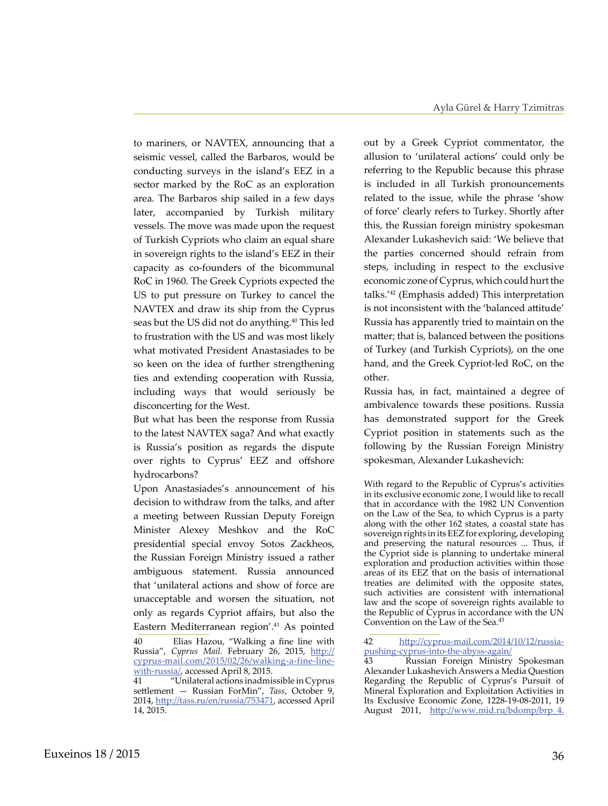to mariners, or NAVTEX, announcing that a seismic vessel, called the Barbaros, would be conducting surveys in the island's EEZ in a sector marked by the RoC as an exploration area. The Barbaros ship sailed in a few days later, accompanied by Turkish military vessels. The move was made upon the request of Turkish Cypriots who claim an equal share in sovereign rights to the island's EEZ in their capacity as co-founders of the bicommunal RoC in 1960. The Greek Cypriots expected the US to put pressure on Turkey to cancel the NAVTEX and draw its ship from the Cyprus seas but the US did not do anything.<sup>40</sup> This led to frustration with the US and was most likely what motivated President Anastasiades to be so keen on the idea of further strengthening ties and extending cooperation with Russia, including ways that would seriously be disconcerting for the West.

But what has been the response from Russia to the latest NAVTEX saga? And what exactly is Russia's position as regards the dispute over rights to Cyprus' EEZ and offshore hydrocarbons?

Upon Anastasiades's announcement of his decision to withdraw from the talks, and after a meeting between Russian Deputy Foreign Minister Alexey Meshkov and the RoC presidential special envoy Sotos Zackheos, the Russian Foreign Ministry issued a rather ambiguous statement. Russia announced that 'unilateral actions and show of force are unacceptable and worsen the situation, not only as regards Cypriot affairs, but also the Eastern Mediterranean region'.<sup>41</sup> As pointed

out by a Greek Cypriot commentator, the allusion to 'unilateral actions' could only be referring to the Republic because this phrase is included in all Turkish pronouncements related to the issue, while the phrase 'show of force' clearly refers to Turkey. Shortly after this, the Russian foreign ministry spokesman Alexander Lukashevich said: 'We believe that the parties concerned should refrain from steps, including in respect to the exclusive economic zone of Cyprus, which could hurt the talks.'42 (Emphasis added) This interpretation is not inconsistent with the 'balanced attitude' Russia has apparently tried to maintain on the matter; that is, balanced between the positions of Turkey (and Turkish Cypriots), on the one hand, and the Greek Cypriot-led RoC, on the other.

Russia has, in fact, maintained a degree of ambivalence towards these positions. Russia has demonstrated support for the Greek Cypriot position in statements such as the following by the Russian Foreign Ministry spokesman, Alexander Lukashevich:

With regard to the Republic of Cyprus's activities in its exclusive economic zone, I would like to recall that in accordance with the 1982 UN Convention on the Law of the Sea, to which Cyprus is a party along with the other 162 states, a coastal state has sovereign rights in its EEZ for exploring, developing and preserving the natural resources ... Thus, if the Cypriot side is planning to undertake mineral exploration and production activities within those areas of its EEZ that on the basis of international treaties are delimited with the opposite states, such activities are consistent with international law and the scope of sovereign rights available to the Republic of Cyprus in accordance with the UN Convention on the Law of the Sea.43

<sup>40</sup> Elias Hazou, "Walking a fine line with Russia", Cyprus Mail. February 26, 2015, [http://](http://cyprus-mail.com/2015/02/26/walking-a-fine-line-with-russia/) [cyprus-mail.com/2015/02/26/walking-a-fine-line](http://cyprus-mail.com/2015/02/26/walking-a-fine-line-with-russia/)[with-russia/](http://cyprus-mail.com/2015/02/26/walking-a-fine-line-with-russia/), accessed April 8, 2015.

<sup>41 &</sup>quot;Unilateral actions inadmissible in Cyprus settlement — Russian ForMin", *Tass*, October 9, 2014, <http://tass.ru/en/russia/753471>, accessed April 14, 2015.

<sup>42</sup> http://cyprus-mail.com/2014/10/12/russiapushing-cyprus-into-the-abyss-again/

Russian Foreign Ministry Spokesman Alexander Lukashevich Answers a Media Question Regarding the Republic of Cyprus's Pursuit of Mineral Exploration and Exploitation Activities in Its Exclusive Economic Zone, 1228-19-08-2011, 19 August 2011, [http://www.mid.ru/bdomp/brp\\_4.](http://www.mid.ru/bdomp/brp_4.nsf/e78a48070f128a7b43256999005bcbb3/b104fcc31f6810aec32578f40037701e!OpenDocument)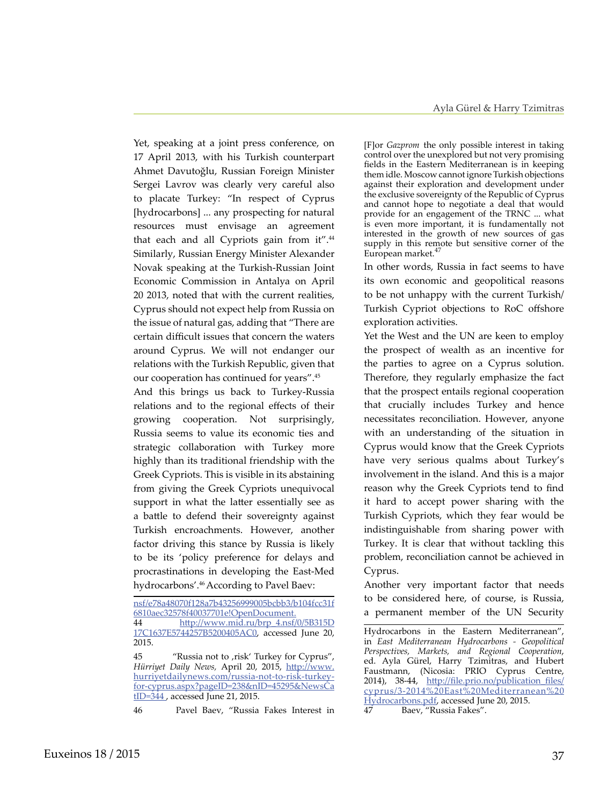Yet, speaking at a joint press conference, on 17 April 2013, with his Turkish counterpart Ahmet Davutoğlu, Russian Foreign Minister Sergei Lavrov was clearly very careful also to placate Turkey: "In respect of Cyprus [hydrocarbons] ... any prospecting for natural resources must envisage an agreement that each and all Cypriots gain from it".<sup>44</sup> Similarly, Russian Energy Minister Alexander Novak speaking at the Turkish-Russian Joint Economic Commission in Antalya on April 20 2013, noted that with the current realities, Cyprus should not expect help from Russia on the issue of natural gas, adding that "There are certain difficult issues that concern the waters around Cyprus. We will not endanger our relations with the Turkish Republic, given that our cooperation has continued for years".45

And this brings us back to Turkey-Russia relations and to the regional effects of their growing cooperation. Not surprisingly, Russia seems to value its economic ties and strategic collaboration with Turkey more highly than its traditional friendship with the Greek Cypriots. This is visible in its abstaining from giving the Greek Cypriots unequivocal support in what the latter essentially see as a battle to defend their sovereignty against Turkish encroachments. However, another factor driving this stance by Russia is likely to be its 'policy preference for delays and procrastinations in developing the East-Med hydrocarbons'.46 According to Pavel Baev:

[F]or *Gazprom* the only possible interest in taking control over the unexplored but not very promising fields in the Eastern Mediterranean is in keeping them idle. Moscow cannot ignore Turkish objections against their exploration and development under the exclusive sovereignty of the Republic of Cyprus and cannot hope to negotiate a deal that would provide for an engagement of the TRNC ... what is even more important, it is fundamentally not interested in the growth of new sources of gas supply in this remote but sensitive corner of the European market.<sup>4</sup>

In other words, Russia in fact seems to have its own economic and geopolitical reasons to be not unhappy with the current Turkish/ Turkish Cypriot objections to RoC offshore exploration activities.

Yet the West and the UN are keen to employ the prospect of wealth as an incentive for the parties to agree on a Cyprus solution. Therefore, they regularly emphasize the fact that the prospect entails regional cooperation that crucially includes Turkey and hence necessitates reconciliation. However, anyone with an understanding of the situation in Cyprus would know that the Greek Cypriots have very serious qualms about Turkey's involvement in the island. And this is a major reason why the Greek Cypriots tend to find it hard to accept power sharing with the Turkish Cypriots, which they fear would be indistinguishable from sharing power with Turkey. It is clear that without tackling this problem, reconciliation cannot be achieved in Cyprus.

Another very important factor that needs to be considered here, of course, is Russia, a permanent member of the UN Security

[nsf/e78a48070f128a7b43256999005bcbb3/b104fcc31f](http://www.mid.ru/bdomp/brp_4.nsf/e78a48070f128a7b43256999005bcbb3/b104fcc31f6810aec32578f40037701e!OpenDocument) [6810aec32578f40037701e!OpenDocument](http://www.mid.ru/bdomp/brp_4.nsf/e78a48070f128a7b43256999005bcbb3/b104fcc31f6810aec32578f40037701e!OpenDocument). 44 [http://www.mid.ru/brp\\_4.nsf/0/5B315D](http://www.mid.ru/brp_4.nsf/0/5B315D17C1637E5744257B5200405AC0) [17C1637E5744257B5200405AC0,](http://www.mid.ru/brp_4.nsf/0/5B315D17C1637E5744257B5200405AC0) accessed June 20, 2015.

<sup>45 &</sup>quot;Russia not to , risk' Turkey for Cyprus", *Hürriyet Daily News,* April 20, 2015, [http://www.](http://www.hurriyetdailynews.com/russia-not-to-risk-turkey-for-cyprus.aspx?pageID=238&nID=45295&NewsCatID=344) [hurriyetdailynews.com/russia-not-to-risk-turkey](http://www.hurriyetdailynews.com/russia-not-to-risk-turkey-for-cyprus.aspx?pageID=238&nID=45295&NewsCatID=344)[for-cyprus.aspx?pageID=238&nID=45295&NewsCa](http://www.hurriyetdailynews.com/russia-not-to-risk-turkey-for-cyprus.aspx?pageID=238&nID=45295&NewsCatID=344)  $tID = 344$ , accessed June 21, 2015.

<sup>46</sup> Pavel Baev, "Russia Fakes Interest in

Hydrocarbons in the Eastern Mediterranean", in *East Mediterranean Hydrocarbons - Geopolitical Perspectives, Markets, and Regional Cooperation*, ed. Ayla Gürel, Harry Tzimitras, and Hubert Faustmann, (Nicosia: PRIO Cyprus Centre, 2014), 38-44, [http://file.prio.no/publication\\_files/](http://file.prio.no/publication_files/cyprus/3-2014%20East%20Mediterranean%20Hydrocarbons.pdf) [cyprus/3-2014%20East%20Mediterranean%20](http://file.prio.no/publication_files/cyprus/3-2014%20East%20Mediterranean%20Hydrocarbons.pdf) [Hydrocarbons.pdf](http://file.prio.no/publication_files/cyprus/3-2014%20East%20Mediterranean%20Hydrocarbons.pdf), accessed June 20, 2015. 47 Baev, "Russia Fakes".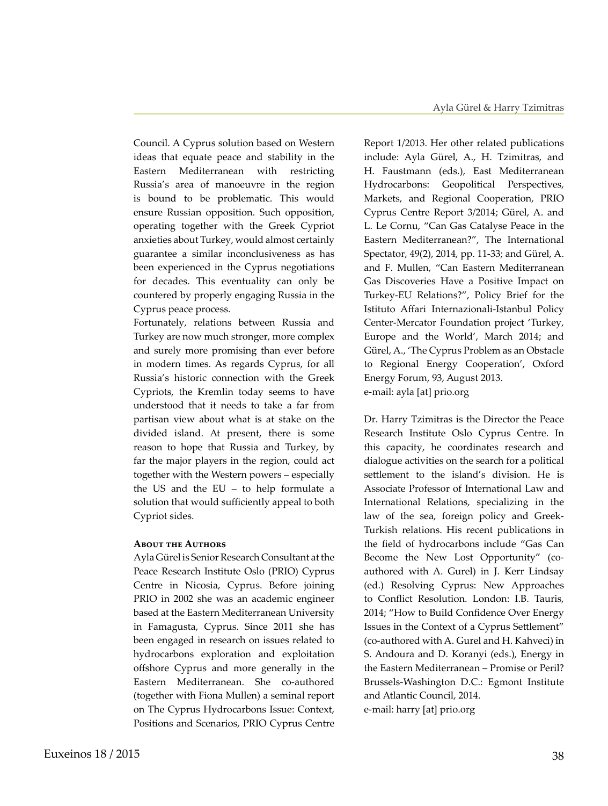Council. A Cyprus solution based on Western ideas that equate peace and stability in the Eastern Mediterranean with restricting Russia's area of manoeuvre in the region is bound to be problematic. This would ensure Russian opposition. Such opposition, operating together with the Greek Cypriot anxieties about Turkey, would almost certainly guarantee a similar inconclusiveness as has been experienced in the Cyprus negotiations for decades. This eventuality can only be countered by properly engaging Russia in the Cyprus peace process.

Fortunately, relations between Russia and Turkey are now much stronger, more complex and surely more promising than ever before in modern times. As regards Cyprus, for all Russia's historic connection with the Greek Cypriots, the Kremlin today seems to have understood that it needs to take a far from partisan view about what is at stake on the divided island. At present, there is some reason to hope that Russia and Turkey, by far the major players in the region, could act together with the Western powers – especially the US and the EU – to help formulate a solution that would sufficiently appeal to both Cypriot sides.

### **About the Authors**

Ayla Gürel is Senior Research Consultant at the Peace Research Institute Oslo (PRIO) Cyprus Centre in Nicosia, Cyprus. Before joining PRIO in 2002 she was an academic engineer based at the Eastern Mediterranean University in Famagusta, Cyprus. Since 2011 she has been engaged in research on issues related to hydrocarbons exploration and exploitation offshore Cyprus and more generally in the Eastern Mediterranean. She co-authored (together with Fiona Mullen) a seminal report on The Cyprus Hydrocarbons Issue: Context, Positions and Scenarios, PRIO Cyprus Centre

Report 1/2013. Her other related publications include: Ayla Gürel, A., H. Tzimitras, and H. Faustmann (eds.), East Mediterranean Hydrocarbons: Geopolitical Perspectives, Markets, and Regional Cooperation, PRIO Cyprus Centre Report 3/2014; Gürel, A. and L. Le Cornu, "Can Gas Catalyse Peace in the Eastern Mediterranean?", The International Spectator, 49(2), 2014, pp. 11-33; and Gürel, A. and F. Mullen, "Can Eastern Mediterranean Gas Discoveries Have a Positive Impact on Turkey-EU Relations?", Policy Brief for the Istituto Affari Internazionali-Istanbul Policy Center-Mercator Foundation project 'Turkey, Europe and the World', March 2014; and Gürel, A., 'The Cyprus Problem as an Obstacle to Regional Energy Cooperation', Oxford Energy Forum, 93, August 2013. e-mail: ayla [at] prio.org

Dr. Harry Tzimitras is the Director the Peace Research Institute Oslo Cyprus Centre. In this capacity, he coordinates research and dialogue activities on the search for a political settlement to the island's division. He is Associate Professor of International Law and International Relations, specializing in the law of the sea, foreign policy and Greek-Turkish relations. His recent publications in the field of hydrocarbons include "Gas Can Become the New Lost Opportunity" (coauthored with A. Gurel) in J. Kerr Lindsay (ed.) Resolving Cyprus: New Approaches to Conflict Resolution. London: I.B. Tauris, 2014; "How to Build Confidence Over Energy Issues in the Context of a Cyprus Settlement" (co-authored with A. Gurel and H. Kahveci) in S. Andoura and D. Koranyi (eds.), Energy in the Eastern Mediterranean – Promise or Peril? Brussels-Washington D.C.: Egmont Institute and Atlantic Council, 2014. e-mail: harry [at] prio.org